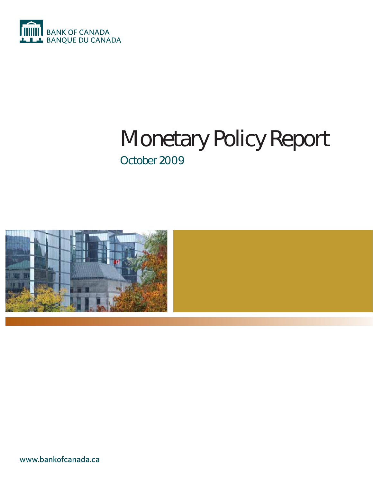

## Monetary Policy Report October 2009



www.bankofcanada.ca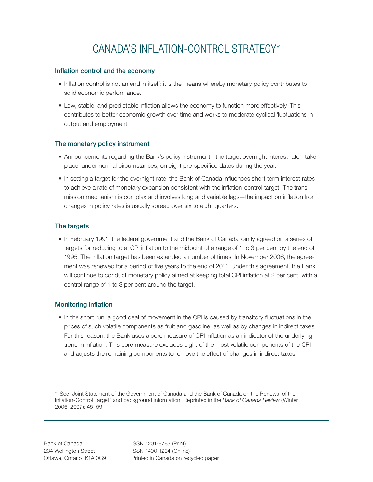## CANADA'S INFLATION-CONTROL STRATEGY\*

### Inflation control and the economy

- Inflation control is not an end in itself; it is the means whereby monetary policy contributes to solid economic performance.
- Low, stable, and predictable inflation allows the economy to function more effectively. This contributes to better economic growth over time and works to moderate cyclical fluctuations in output and employment.

### The monetary policy instrument

- Announcements regarding the Bank's policy instrument—the target overnight interest rate—take place, under normal circumstances, on eight pre-specified dates during the year.
- In setting a target for the overnight rate, the Bank of Canada influences short-term interest rates to achieve a rate of monetary expansion consistent with the inflation-control target. The transmission mechanism is complex and involves long and variable lags—the impact on inflation from changes in policy rates is usually spread over six to eight quarters.

### The targets

• In February 1991, the federal government and the Bank of Canada jointly agreed on a series of targets for reducing total CPI inflation to the midpoint of a range of 1 to 3 per cent by the end of 1995. The inflation target has been extended a number of times. In November 2006, the agreement was renewed for a period of five years to the end of 2011. Under this agreement, the Bank will continue to conduct monetary policy aimed at keeping total CPI inflation at 2 per cent, with a control range of 1 to 3 per cent around the target.

### **Monitoring inflation**

• In the short run, a good deal of movement in the CPI is caused by transitory fluctuations in the prices of such volatile components as fruit and gasoline, as well as by changes in indirect taxes. For this reason, the Bank uses a core measure of CPI inflation as an indicator of the underlying trend in inflation. This core measure excludes eight of the most volatile components of the CPI and adjusts the remaining components to remove the effect of changes in indirect taxes.

<sup>\*</sup> See "Joint Statement of the Government of Canada and the Bank of Canada on the Renewal of the Inflation-Control Target" and background information. Reprinted in the Bank of Canada Review (Winter 2006–2007): 45–59.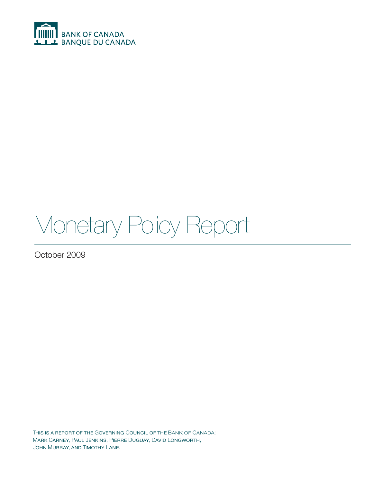

# Monetary Policy Report

October 2009

THIS IS A REPORT OF THE GOVERNING COUNCIL OF THE BANK OF CANADA: MARK CARNEY, PAUL JENKINS, PIERRE DUGUAY, DAVID LONGWORTH, JOHN MURRAY, AND TIMOTHY LANE.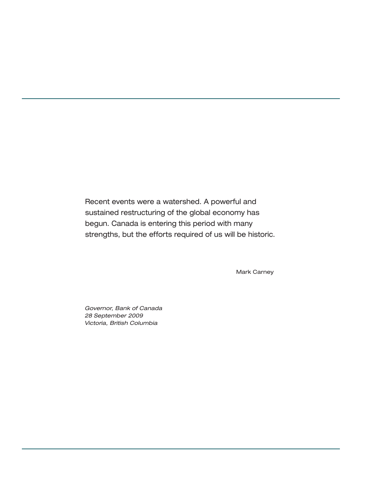Recent events were a watershed. A powerful and sustained restructuring of the global economy has begun. Canada is entering this period with many strengths, but the efforts required of us will be historic.

Mark Carney

Governor, Bank of Canada 28 September 2009 Victoria, British Columbia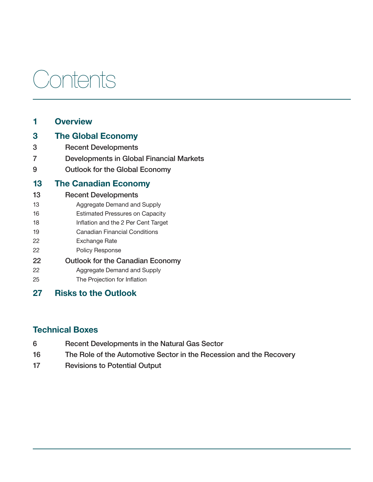# Contents

## 1 [Overview](#page-6-0)

### 3 [The Global Economy](#page-8-0)

- 3 Recent Developments
- 7 Developments in Global Financial Markets
- 9 Outlook for the Global Economy

### 13 [The Canadian Economy](#page-18-0)

- 13 Recent Developments
- 13 Aggregate Demand and Supply
- 16 Estimated Pressures on Capacity
- 18 Inflation and the 2 Per Cent Target
- 19 Canadian Financial Conditions
- 22 Exchange Rate
- 22 Policy Response
- 22 Outlook for the Canadian Economy
- 22 Aggregate Demand and Supply
- 25 The Projection for Inflation
- 27 [Risks to the Outlook](#page-32-0)

## Technical Boxes

- 6 Recent Developments in the Natural Gas Sector 16 The Role of the Automotive Sector in the Recession and the Recovery
- 17 Revisions to Potential Output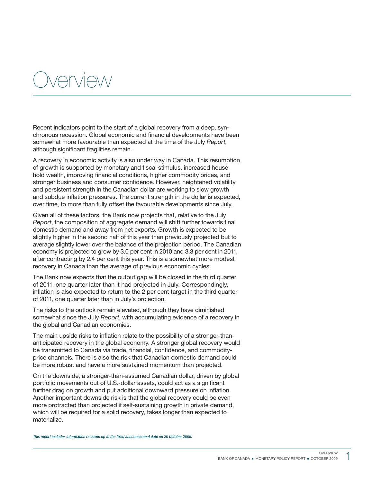## <span id="page-6-0"></span> $N \cap \Gamma$

Recent indicators point to the start of a global recovery from a deep, synchronous recession. Global economic and financial developments have been somewhat more favourable than expected at the time of the July Report, although significant fragilities remain.

A recovery in economic activity is also under way in Canada. This resumption of growth is supported by monetary and fiscal stimulus, increased household wealth, improving financial conditions, higher commodity prices, and stronger business and consumer confidence. However, heightened volatility and persistent strength in the Canadian dollar are working to slow growth and subdue inflation pressures. The current strength in the dollar is expected, over time, to more than fully offset the favourable developments since July.

Given all of these factors, the Bank now projects that, relative to the July Report, the composition of aggregate demand will shift further towards final domestic demand and away from net exports. Growth is expected to be slightly higher in the second half of this year than previously projected but to average slightly lower over the balance of the projection period. The Canadian economy is projected to grow by 3.0 per cent in 2010 and 3.3 per cent in 2011, after contracting by 2.4 per cent this year. This is a somewhat more modest recovery in Canada than the average of previous economic cycles.

The Bank now expects that the output gap will be closed in the third quarter of 2011, one quarter later than it had projected in July. Correspondingly, inflation is also expected to return to the 2 per cent target in the third quarter of 2011, one quarter later than in July's projection.

The risks to the outlook remain elevated, although they have diminished somewhat since the July Report, with accumulating evidence of a recovery in the global and Canadian economies.

The main upside risks to inflation relate to the possibility of a stronger-thananticipated recovery in the global economy. A stronger global recovery would be transmitted to Canada via trade, financial, confidence, and commodityprice channels. There is also the risk that Canadian domestic demand could be more robust and have a more sustained momentum than projected.

On the downside, a stronger-than-assumed Canadian dollar, driven by global portfolio movements out of U.S.-dollar assets, could act as a significant further drag on growth and put additional downward pressure on inflation. Another important downside risk is that the global recovery could be even more protracted than projected if self-sustaining growth in private demand, which will be required for a solid recovery, takes longer than expected to materialize.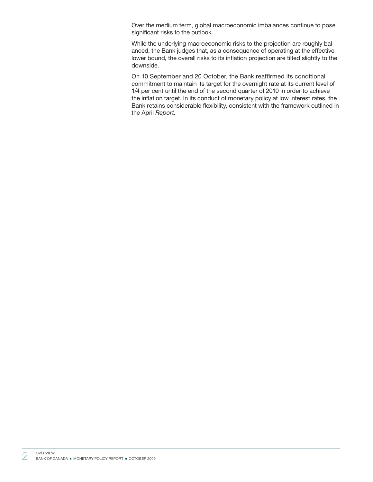Over the medium term, global macroeconomic imbalances continue to pose significant risks to the outlook.

While the underlying macroeconomic risks to the projection are roughly balanced, the Bank judges that, as a consequence of operating at the effective lower bound, the overall risks to its inflation projection are tilted slightly to the downside.

On 10 September and 20 October, the Bank reaffirmed its conditional commitment to maintain its target for the overnight rate at its current level of 1/4 per cent until the end of the second quarter of 2010 in order to achieve the inflation target. In its conduct of monetary policy at low interest rates, the Bank retains considerable flexibility, consistent with the framework outlined in the April Report.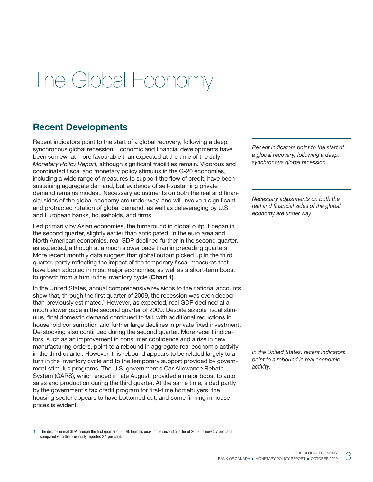## <span id="page-8-0"></span>The Global Economy

## Recent Developments

Recent indicators point to the start of a global recovery, following a deep, synchronous global recession. Economic and financial developments have been somewhat more favourable than expected at the time of the July Monetary Policy Report, although significant fragilities remain. Vigorous and coordinated fiscal and monetary policy stimulus in the G-20 economies, including a wide range of measures to support the flow of credit, have been sustaining aggregate demand, but evidence of self-sustaining private demand remains modest. Necessary adjustments on both the real and financial sides of the global economy are under way, and will involve a significant and protracted rotation of global demand, as well as deleveraging by U.S. and European banks, households, and firms.

Led primarily by Asian economies, the turnaround in global output began in the second quarter, slightly earlier than anticipated. In the euro area and North American economies, real GDP declined further in the second quarter, as expected, although at a much slower pace than in preceding quarters. More recent monthly data suggest that global output picked up in the third quarter, partly reflecting the impact of the temporary fiscal measures that have been adopted in most major economies, as well as a short-term boost to growth from a turn in the inventory cycle (Chart 1).

In the United States, annual comprehensive revisions to the national accounts show that, through the first quarter of 2009, the recession was even deeper than previously estimated.<sup>1</sup> However, as expected, real GDP declined at a much slower pace in the second quarter of 2009. Despite sizable fiscal stimulus, final domestic demand continued to fall, with additional reductions in household consumption and further large declines in private fixed investment. De-stocking also continued during the second quarter. More recent indicators, such as an improvement in consumer confidence and a rise in new manufacturing orders, point to a rebound in aggregate real economic activity in the third quarter. However, this rebound appears to be related largely to a turn in the inventory cycle and to the temporary support provided by government stimulus programs. The U.S. government's Car Allowance Rebate System (CARS), which ended in late August, provided a major boost to auto sales and production during the third quarter. At the same time, aided partly by the government's tax credit program for first-time homebuyers, the housing sector appears to have bottomed out, and some firming in house prices is evident.

Recent indicators point to the start of a global recovery, following a deep, synchronous global recession.

Necessary adjustments on both the real and financial sides of the global economy are under way.

In the United States, recent indicators point to a rebound in real economic activity.

<sup>1</sup> The decline in real GDP through the first quarter of 2009, from its peak in the second quarter of 2008, is now 3.7 per cent, compared with the previously reported 3.1 per cent.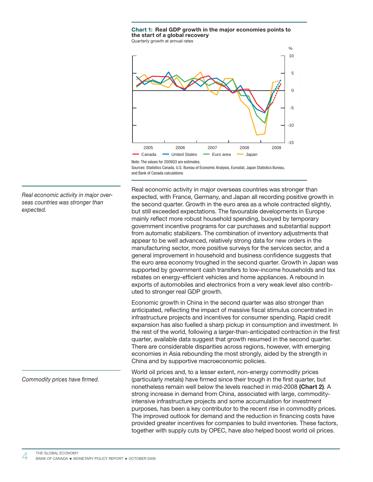

Quarterly growth at annual rates



Note: The values for 2009Q3 are estimates. Sources: Statistics Canada, U.S. Bureau of Economic Analysis, Eurostat, Japan Statistics Bureau, and Bank of Canada calculations

Real economic activity in major overseas countries was stronger than expected, with France, Germany, and Japan all recording positive growth in the second quarter. Growth in the euro area as a whole contracted slightly, but still exceeded expectations. The favourable developments in Europe mainly reflect more robust household spending, buoyed by temporary government incentive programs for car purchases and substantial support from automatic stabilizers. The combination of inventory adjustments that appear to be well advanced, relatively strong data for new orders in the manufacturing sector, more positive surveys for the services sector, and a general improvement in household and business confidence suggests that the euro area economy troughed in the second quarter. Growth in Japan was supported by government cash transfers to low-income households and tax rebates on energy-efficient vehicles and home appliances. A rebound in exports of automobiles and electronics from a very weak level also contributed to stronger real GDP growth.

Economic growth in China in the second quarter was also stronger than anticipated, reflecting the impact of massive fiscal stimulus concentrated in infrastructure projects and incentives for consumer spending. Rapid credit expansion has also fuelled a sharp pickup in consumption and investment. In the rest of the world, following a larger-than-anticipated contraction in the first quarter, available data suggest that growth resumed in the second quarter. There are considerable disparities across regions, however, with emerging economies in Asia rebounding the most strongly, aided by the strength in China and by supportive macroeconomic policies.

World oil prices and, to a lesser extent, non-energy commodity prices (particularly metals) have firmed since their trough in the first quarter, but nonetheless remain well below the levels reached in mid-2008 (Chart 2). A strong increase in demand from China, associated with large, commodityintensive infrastructure projects and some accumulation for investment purposes, has been a key contributor to the recent rise in commodity prices. The improved outlook for demand and the reduction in financing costs have provided greater incentives for companies to build inventories. These factors, together with supply cuts by OPEC, have also helped boost world oil prices.

Real economic activity in major overseas countries was stronger than expected.

Commodity prices have firmed.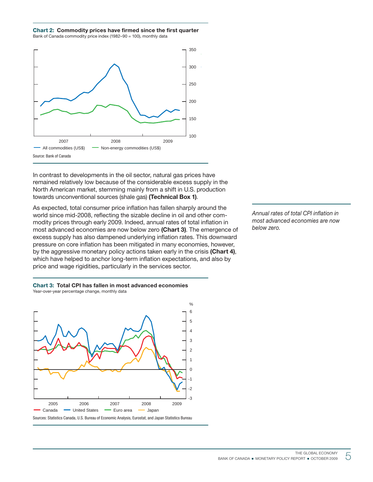### Chart 2: Commodity prices have firmed since the first quarter

Bank of Canada commodity price index (1982–90 = 100), monthly data



In contrast to developments in the oil sector, natural gas prices have remained relatively low because of the considerable excess supply in the North American market, stemming mainly from a shift in U.S. production towards unconventional sources (shale gas) (Technical Box 1).

As expected, total consumer price inflation has fallen sharply around the world since mid-2008, reflecting the sizable decline in oil and other commodity prices through early 2009. Indeed, annual rates of total inflation in most advanced economies are now below zero (Chart 3). The emergence of excess supply has also dampened underlying inflation rates. This downward pressure on core inflation has been mitigated in many economies, however, by the aggressive monetary policy actions taken early in the crisis (Chart 4), which have helped to anchor long-term inflation expectations, and also by price and wage rigidities, particularly in the services sector.

Annual rates of total CPI inflation in most advanced economies are now below zero.



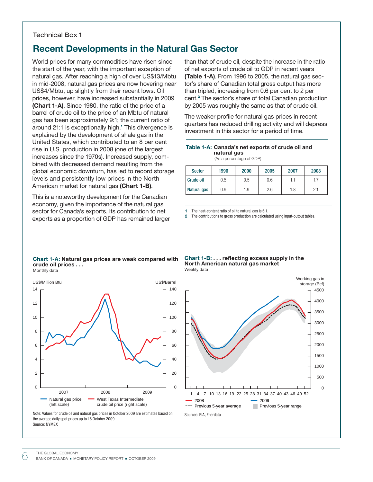### Technical Box 1

### Recent Developments in the Natural Gas Sector

World prices for many commodities have risen since the start of the year, with the important exception of natural gas. After reaching a high of over US\$13/Mbtu in mid-2008, natural gas prices are now hovering near US\$4/Mbtu, up slightly from their recent lows. Oil prices, however, have increased substantially in 2009 (Chart 1-A). Since 1980, the ratio of the price of a barrel of crude oil to the price of an Mbtu of natural gas has been approximately 9:1; the current ratio of around 21:1 is exceptionally high.<sup>1</sup> This divergence is explained by the development of shale gas in the United States, which contributed to an 8 per cent rise in U.S. production in 2008 (one of the largest increases since the 1970s). Increased supply, combined with decreased demand resulting from the global economic downturn, has led to record storage levels and persistently low prices in the North American market for natural gas (Chart 1-B).

This is a noteworthy development for the Canadian economy, given the importance of the natural gas sector for Canada's exports. Its contribution to net exports as a proportion of GDP has remained larger than that of crude oil, despite the increase in the ratio of net exports of crude oil to GDP in recent years (Table 1-A). From 1996 to 2005, the natural gas sector's share of Canadian total gross output has more than tripled, increasing from 0.6 per cent to 2 per cent.<sup>2</sup> The sector's share of total Canadian production by 2005 was roughly the same as that of crude oil.

The weaker profile for natural gas prices in recent quarters has reduced drilling activity and will depress investment in this sector for a period of time.

#### Table 1-A: Canada's net exports of crude oil and natural gas

(As a percentage of GDP)

| <b>Sector</b>    | 1996 | 2000 | 2005 | 2007 | 2008 |
|------------------|------|------|------|------|------|
| <b>Crude oil</b> | 0.5  | 0.5  | 0.6  | 1.1  |      |
| Natural gas      | 0.9  | 1.9  | 2.6  | 1.8  | 2.1  |

1 The heat-content ratio of oil to natural gas is 6:1.

2 The contributions to gross production are calculated using input-output tables.

#### Chart 1-A: Natural gas prices are weak compared with crude oil prices . . . Monthly data







Note: Values for crude oil and natural gas prices in October 2009 are estimates based on the average daily spot prices up to 16 October 2009. Source: NYMEX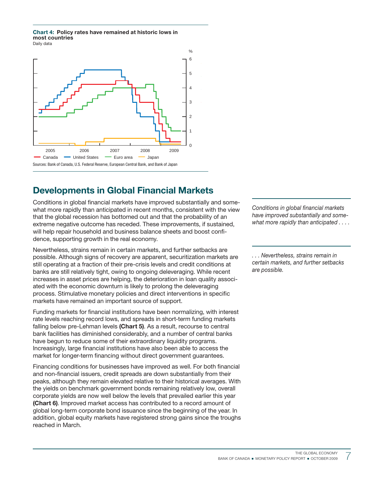Chart 4: Policy rates have remained at historic lows in most countries Daily data



## Developments in Global Financial Markets

Conditions in global financial markets have improved substantially and somewhat more rapidly than anticipated in recent months, consistent with the view that the global recession has bottomed out and that the probability of an extreme negative outcome has receded. These improvements, if sustained, will help repair household and business balance sheets and boost confidence, supporting growth in the real economy.

Nevertheless, strains remain in certain markets, and further setbacks are possible. Although signs of recovery are apparent, securitization markets are still operating at a fraction of their pre-crisis levels and credit conditions at banks are still relatively tight, owing to ongoing deleveraging. While recent increases in asset prices are helping, the deterioration in loan quality associated with the economic downturn is likely to prolong the deleveraging process. Stimulative monetary policies and direct interventions in specific markets have remained an important source of support.

Funding markets for financial institutions have been normalizing, with interest rate levels reaching record lows, and spreads in short-term funding markets falling below pre-Lehman levels (Chart 5). As a result, recourse to central bank facilities has diminished considerably, and a number of central banks have begun to reduce some of their extraordinary liquidity programs. Increasingly, large financial institutions have also been able to access the market for longer-term financing without direct government guarantees.

Financing conditions for businesses have improved as well. For both financial and non-financial issuers, credit spreads are down substantially from their peaks, although they remain elevated relative to their historical averages. With the yields on benchmark government bonds remaining relatively low, overall corporate yields are now well below the levels that prevailed earlier this year (Chart 6). Improved market access has contributed to a record amount of global long-term corporate bond issuance since the beginning of the year. In addition, global equity markets have registered strong gains since the troughs reached in March.

Conditions in global financial markets have improved substantially and somewhat more rapidly than anticipated . . . .

. . . Nevertheless, strains remain in certain markets, and further setbacks are possible.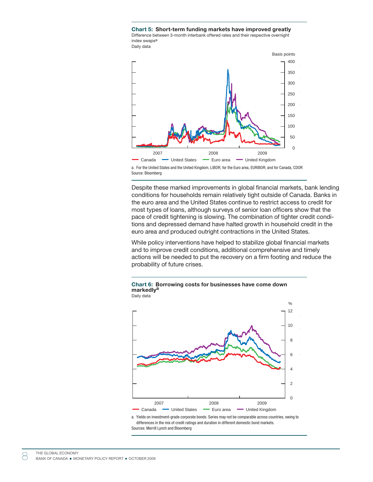Chart 5: Short-term funding markets have improved greatly Difference between 3-month interbank offered rates and their respective overnight index swaps<sup>a</sup> Daily data



a. For the United States and the United Kingdom, LIBOR; for the Euro area, EURIBOR; and for Canada, CDOR Source: Bloomberg

Despite these marked improvements in global financial markets, bank lending conditions for households remain relatively tight outside of Canada. Banks in the euro area and the United States continue to restrict access to credit for most types of loans, although surveys of senior loan officers show that the pace of credit tightening is slowing. The combination of tighter credit conditions and depressed demand have halted growth in household credit in the euro area and produced outright contractions in the United States.

While policy interventions have helped to stabilize global financial markets and to improve credit conditions, additional comprehensive and timely actions will be needed to put the recovery on a firm footing and reduce the probability of future crises.



#### Chart 6: Borrowing costs for businesses have come down markedly<sup>a</sup> Daily data

a. Yields on investment-grade corporate bonds. Series may not be comparable across countries, owing to differences in the mix of credit ratings and duration in different domestic bond markets. Sources: Merrill Lynch and Bloomberg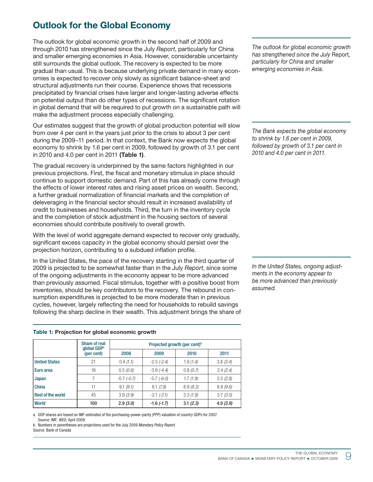## Outlook for the Global Economy

The outlook for global economic growth in the second half of 2009 and through 2010 has strengthened since the July Report, particularly for China and smaller emerging economies in Asia. However, considerable uncertainty still surrounds the global outlook. The recovery is expected to be more gradual than usual. This is because underlying private demand in many economies is expected to recover only slowly as significant balance-sheet and structural adjustments run their course. Experience shows that recessions precipitated by financial crises have larger and longer-lasting adverse effects on potential output than do other types of recessions. The significant rotation in global demand that will be required to put growth on a sustainable path will make the adjustment process especially challenging.

Our estimates suggest that the growth of global production potential will slow from over 4 per cent in the years just prior to the crisis to about 3 per cent during the 2009−11 period. In that context, the Bank now expects the global economy to shrink by 1.6 per cent in 2009, followed by growth of 3.1 per cent in 2010 and 4.0 per cent in 2011 (Table 1).

The gradual recovery is underpinned by the same factors highlighted in our previous projections. First, the fiscal and monetary stimulus in place should continue to support domestic demand. Part of this has already come through the effects of lower interest rates and rising asset prices on wealth. Second, a further gradual normalization of financial markets and the completion of deleveraging in the financial sector should result in increased availability of credit to businesses and households. Third, the turn in the inventory cycle and the completion of stock adjustment in the housing sectors of several economies should contribute positively to overall growth.

With the level of world aggregate demand expected to recover only gradually, significant excess capacity in the global economy should persist over the projection horizon, contributing to a subdued inflation profile.

In the United States, the pace of the recovery starting in the third quarter of 2009 is projected to be somewhat faster than in the July Report, since some of the ongoing adjustments in the economy appear to be more advanced than previously assumed. Fiscal stimulus, together with a positive boost from inventories, should be key contributors to the recovery. The rebound in consumption expenditures is projected to be more moderate than in previous cycles, however, largely reflecting the need for households to rebuild savings following the sharp decline in their wealth. This adjustment brings the share of

### Table 1: Projection for global economic growth

|                          | Share of real<br>global GDP <sup>a</sup> | Projected growth (per cent) <sup>b</sup> |                 |          |          |  |  |  |  |  |
|--------------------------|------------------------------------------|------------------------------------------|-----------------|----------|----------|--|--|--|--|--|
|                          | (per cent)                               | 2008                                     | 2009            | 2010     | 2011     |  |  |  |  |  |
| <b>United States</b>     | 21                                       | 0.4(1.1)                                 | $-2.5$ $(-2.4)$ | 1.8(1.4) | 3.8(3.4) |  |  |  |  |  |
| Euro area                | 16                                       | 0.5(0.6)                                 | $-3.9(-4.4)$    | 0.9(0.7) | 2.4(2.4) |  |  |  |  |  |
| <b>Japan</b>             |                                          | $-0.7$ $(-0.7)$                          | $-5.7$ $(-6.0)$ | 1.7(1.9) | 2.5(2.8) |  |  |  |  |  |
| <b>China</b>             | 11                                       | 9.1(9.1)                                 | 8.1(7.8)        | 8.9(8.3) | 8.9(9.6) |  |  |  |  |  |
| <b>Rest of the world</b> | 45                                       | 3.9(3.9)                                 | $-2.1$ $(-2.1)$ | 3.3(1.9) | 3.7(3.5) |  |  |  |  |  |
| <b>World</b>             | 100                                      | 2.9(3.0)                                 | $-1.6$ $(-1.7)$ | 3.1(2.3) | 4.0(3.9) |  |  |  |  |  |

a. GDP shares are based on IMF estimates of the purchasing-power-parity (PPP) valuation of country GDPs for 2007. Source: IMF, WEO, April 2009.

b. Numbers in parentheses are projections used for the July 2009 Monetary Policy Report. Source: Bank of Canada

The outlook for global economic growth has strengthened since the July Report, particularly for China and smaller emerging economies in Asia.

The Bank expects the global economy to shrink by 1.6 per cent in 2009, followed by growth of 3.1 per cent in 2010 and 4.0 per cent in 2011.

In the United States, ongoing adjustments in the economy appear to be more advanced than previously assumed.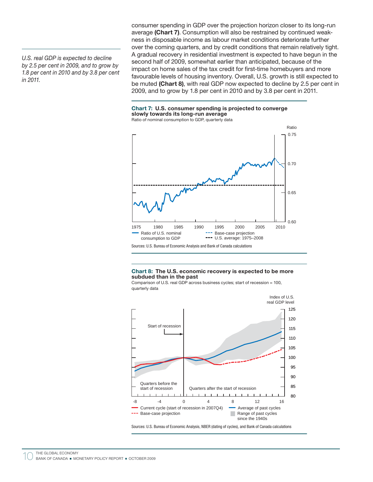U.S. real GDP is expected to decline by 2.5 per cent in 2009, and to grow by 1.8 per cent in 2010 and by 3.8 per cent in 2011.

consumer spending in GDP over the projection horizon closer to its long-run average (Chart 7). Consumption will also be restrained by continued weakness in disposable income as labour market conditions deteriorate further over the coming quarters, and by credit conditions that remain relatively tight. A gradual recovery in residential investment is expected to have begun in the second half of 2009, somewhat earlier than anticipated, because of the impact on home sales of the tax credit for first-time homebuyers and more favourable levels of housing inventory. Overall, U.S. growth is still expected to be muted (Chart 8), with real GDP now expected to decline by 2.5 per cent in 2009, and to grow by 1.8 per cent in 2010 and by 3.8 per cent in 2011.

### Chart 7: U.S. consumer spending is projected to converge slowly towards its long-run average

Ratio of nominal consumption to GDP, quarterly data



#### Chart 8: The U.S. economic recovery is expected to be more subdued than in the past

Comparison of U.S. real GDP across business cycles; start of recession = 100, quarterly data



Sources: U.S. Bureau of Economic Analysis, NBER (dating of cycles), and Bank of Canada calculations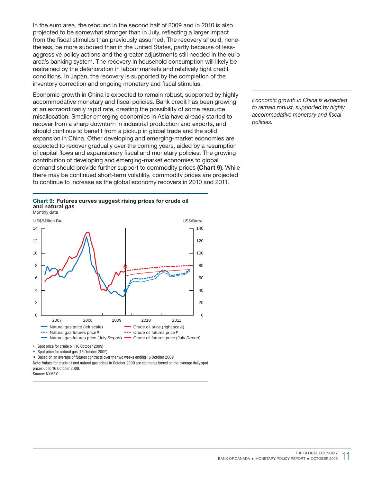In the euro area, the rebound in the second half of 2009 and in 2010 is also projected to be somewhat stronger than in July, reflecting a larger impact from the fiscal stimulus than previously assumed. The recovery should, nonetheless, be more subdued than in the United States, partly because of lessaggressive policy actions and the greater adjustments still needed in the euro area's banking system. The recovery in household consumption will likely be restrained by the deterioration in labour markets and relatively tight credit conditions. In Japan, the recovery is supported by the completion of the inventory correction and ongoing monetary and fiscal stimulus.

Economic growth in China is expected to remain robust, supported by highly accommodative monetary and fiscal policies. Bank credit has been growing at an extraordinarily rapid rate, creating the possibility of some resource misallocation. Smaller emerging economies in Asia have already started to recover from a sharp downturn in industrial production and exports, and should continue to benefit from a pickup in global trade and the solid expansion in China. Other developing and emerging-market economies are expected to recover gradually over the coming years, aided by a resumption of capital flows and expansionary fiscal and monetary policies. The growing contribution of developing and emerging-market economies to global demand should provide further support to commodity prices (Chart 9). While there may be continued short-term volatility, commodity prices are projected to continue to increase as the global economy recovers in 2010 and 2011.

#### Chart 9: Futures curves suggest rising prices for crude oil and natural gas Monthly data



• Spot price for natural gas (16 October 2009)

> Based on an average of futures contracts over the two weeks ending 16 October 2009

Note: Values for crude oil and natural gas prices in October 2009 are estimates based on the average daily spot prices up to 16 October 2009.

Source: NYMEX

Economic growth in China is expected to remain robust, supported by highly accommodative monetary and fiscal policies.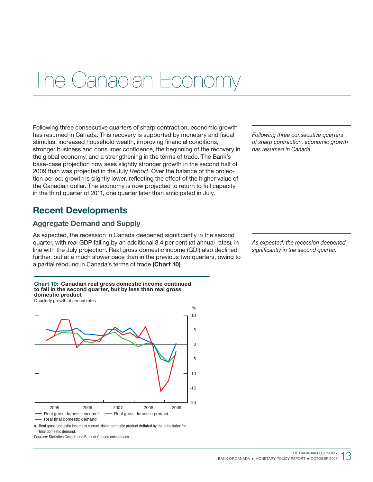## <span id="page-18-0"></span>The Canadian Econor

Following three consecutive quarters of sharp contraction, economic growth has resumed in Canada. This recovery is supported by monetary and fiscal stimulus, increased household wealth, improving financial conditions, stronger business and consumer confidence, the beginning of the recovery in the global economy, and a strengthening in the terms of trade. The Bank's base-case projection now sees slightly stronger growth in the second half of 2009 than was projected in the July Report. Over the balance of the projection period, growth is slightly lower, reflecting the effect of the higher value of the Canadian dollar. The economy is now projected to return to full capacity in the third quarter of 2011, one quarter later than anticipated in July.

## Recent Developments

### Aggregate Demand and Supply

As expected, the recession in Canada deepened significantly in the second quarter, with real GDP falling by an additional 3.4 per cent (at annual rates), in line with the July projection. Real gross domestic income (GDI) also declined further, but at a much slower pace than in the previous two quarters, owing to a partial rebound in Canada's terms of trade (Chart 10).



Real gross domestic incomea Real gross domestic product

Real final domestic demand

a. Real gross domestic income is current-dollar domestic product deflated by the price index for final domestic demand.

Sources: Statistics Canada and Bank of Canada calculations

Following three consecutive quarters of sharp contraction, economic growth has resumed in Canada.

As expected, the recession deepened significantly in the second quarter.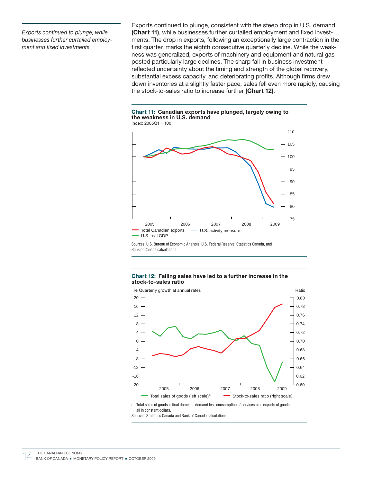Exports continued to plunge, while businesses further curtailed employment and fixed investments.

Exports continued to plunge, consistent with the steep drop in U.S. demand (Chart 11), while businesses further curtailed employment and fixed investments. The drop in exports, following an exceptionally large contraction in the first quarter, marks the eighth consecutive quarterly decline. While the weakness was generalized, exports of machinery and equipment and natural gas posted particularly large declines. The sharp fall in business investment reflected uncertainty about the timing and strength of the global recovery, substantial excess capacity, and deteriorating profits. Although firms drew down inventories at a slightly faster pace, sales fell even more rapidly, causing the stock-to-sales ratio to increase further (Chart 12).

### Chart 11: Canadian exports have plunged, largely owing to the weakness in U.S. demand





Sources: U.S. Bureau of Economic Analysis, U.S. Federal Reserve, Statistics Canada, and Bank of Canada calculations

### Chart 12: Falling sales have led to a further increase in the stock-to-sales ratio



a. Total sales of goods is final domestic demand less consumption of services plus exports of goods, all in constant dollars.

Sources: Statistics Canada and Bank of Canada calculations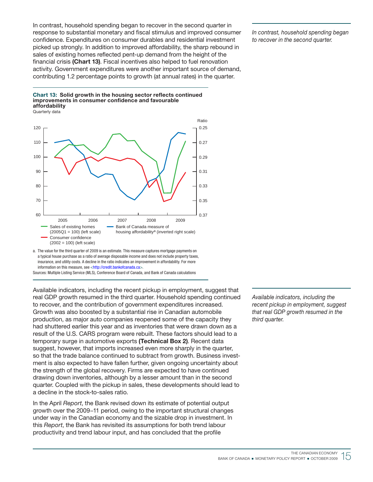In contrast, household spending began to recover in the second quarter in response to substantial monetary and fiscal stimulus and improved consumer confidence. Expenditures on consumer durables and residential investment picked up strongly. In addition to improved affordability, the sharp rebound in sales of existing homes reflected pent-up demand from the height of the financial crisis (Chart 13). Fiscal incentives also helped to fuel renovation activity. Government expenditures were another important source of demand, contributing 1.2 percentage points to growth (at annual rates) in the quarter.

Chart 13: Solid growth in the housing sector reflects continued improvements in consumer confidence and favourable affordability Quarterly data



a. The value for the third quarter of 2009 is an estimate. This measure captures mortgage payments on a typical house purchase as a ratio of average disposable income and does not include property taxes, insurance, and utility costs. A decline in the ratio indicates an improvement in affordability. For more information on this measure, see <[http://credit.bankofcanada.ca>](http://credit.bankofcanada.ca).

Sources: Multiple Listing Service (MLS), Conference Board of Canada, and Bank of Canada calculations

Available indicators, including the recent pickup in employment, suggest that real GDP growth resumed in the third quarter. Household spending continued to recover, and the contribution of government expenditures increased. Growth was also boosted by a substantial rise in Canadian automobile production, as major auto companies reopened some of the capacity they had shuttered earlier this year and as inventories that were drawn down as a result of the U.S. CARS program were rebuilt. These factors should lead to a temporary surge in automotive exports (Technical Box 2). Recent data suggest, however, that imports increased even more sharply in the quarter, so that the trade balance continued to subtract from growth. Business investment is also expected to have fallen further, given ongoing uncertainty about the strength of the global recovery. Firms are expected to have continued drawing down inventories, although by a lesser amount than in the second quarter. Coupled with the pickup in sales, these developments should lead to a decline in the stock-to-sales ratio.

In the April Report, the Bank revised down its estimate of potential output growth over the 2009−11 period, owing to the important structural changes under way in the Canadian economy and the sizable drop in investment. In this Report, the Bank has revisited its assumptions for both trend labour productivity and trend labour input, and has concluded that the profile

Available indicators, including the recent pickup in employment, suggest that real GDP growth resumed in the third quarter.

In contrast, household spending began to recover in the second quarter.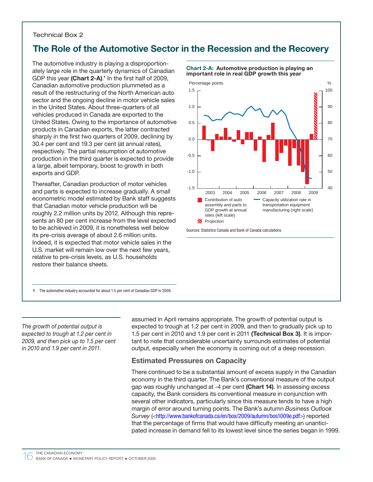### Technical Box 2

## The Role of the Automotive Sector in the Recession and the Recovery

The automotive industry is playing a disproportionately large role in the quarterly dynamics of Canadian GDP this year (Chart 2-A).<sup>1</sup> In the first half of 2009, Canadian automotive production plummeted as a result of the restructuring of the North American auto sector and the ongoing decline in motor vehicle sales in the United States. About three-quarters of all vehicles produced in Canada are exported to the United States. Owing to the importance of automotive products in Canadian exports, the latter contracted sharply in the first two quarters of 2009, declining by 30.4 per cent and 19.3 per cent (at annual rates), respectively. The partial resumption of automotive production in the third quarter is expected to provide a large, albeit temporary, boost to growth in both exports and GDP.

Thereafter, Canadian production of motor vehicles and parts is expected to increase gradually. A small econometric model estimated by Bank staff suggests that Canadian motor vehicle production will be roughly 2.2 million units by 2012. Although this represents an 80 per cent increase from the level expected to be achieved in 2009, it is nonetheless well below its pre-crisis average of about 2.6 million units. Indeed, it is expected that motor vehicle sales in the U.S. market will remain low over the next few years, relative to pre-crisis levels, as U.S. households restore their balance sheets.

1 The automotive industry accounted for about 1.5 per cent of Canadian GDP in 2008.

The growth of potential output is expected to trough at 1.2 per cent in 2009, and then pick up to 1.5 per cent in 2010 and 1.9 per cent in 2011.

assumed in April remains appropriate. The growth of potential output is expected to trough at 1.2 per cent in 2009, and then to gradually pick up to 1.5 per cent in 2010 and 1.9 per cent in 2011 (Technical Box 3). It is important to note that considerable uncertainty surrounds estimates of potential output, especially when the economy is coming out of a deep recession.

### Estimated Pressures on Capacity

There continued to be a substantial amount of excess supply in the Canadian economy in the third quarter. The Bank's conventional measure of the output gap was roughly unchanged at -4 per cent (Chart 14). In assessing excess capacity, the Bank considers its conventional measure in conjunction with several other indicators, particularly since this measure tends to have a high margin of error around turning points. The Bank's autumn Business Outlook Survey ([<http://www.bankofcanada.ca/en/bos/2009/autumn/bos1009e.pdf>](http://www.bankofcanada.ca/en/bos/2009/autumn/bos1009e.pdf)) reported that the percentage of firms that would have difficulty meeting an unanticipated increase in demand fell to its lowest level since the series began in 1999.

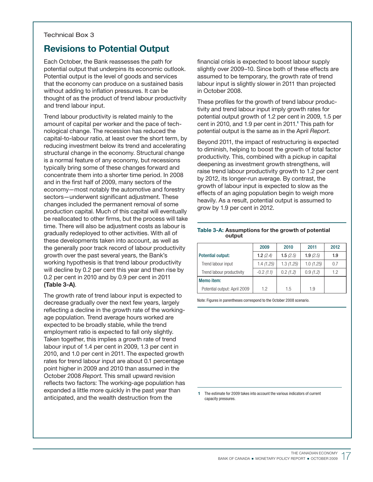### Technical Box 3

## Revisions to Potential Output

Each October, the Bank reassesses the path for potential output that underpins its economic outlook. Potential output is the level of goods and services that the economy can produce on a sustained basis without adding to inflation pressures. It can be thought of as the product of trend labour productivity and trend labour input.

Trend labour productivity is related mainly to the amount of capital per worker and the pace of technological change. The recession has reduced the capital-to-labour ratio, at least over the short term, by reducing investment below its trend and accelerating structural change in the economy. Structural change is a normal feature of any economy, but recessions typically bring some of these changes forward and concentrate them into a shorter time period. In 2008 and in the first half of 2009, many sectors of the economy—most notably the automotive and forestry sectors—underwent significant adjustment. These changes included the permanent removal of some production capital. Much of this capital will eventually be reallocated to other firms, but the process will take time. There will also be adjustment costs as labour is gradually redeployed to other activities. With all of these developments taken into account, as well as the generally poor track record of labour productivity growth over the past several years, the Bank's working hypothesis is that trend labour productivity will decline by 0.2 per cent this year and then rise by 0.2 per cent in 2010 and by 0.9 per cent in 2011 (Table 3-A).

The growth rate of trend labour input is expected to decrease gradually over the next few years, largely reflecting a decline in the growth rate of the workingage population. Trend average hours worked are expected to be broadly stable, while the trend employment ratio is expected to fall only slightly. Taken together, this implies a growth rate of trend labour input of 1.4 per cent in 2009, 1.3 per cent in 2010, and 1.0 per cent in 2011. The expected growth rates for trend labour input are about 0.1 percentage point higher in 2009 and 2010 than assumed in the October 2008 Report. This small upward revision reflects two factors: The working-age population has expanded a little more quickly in the past year than anticipated, and the wealth destruction from the

financial crisis is expected to boost labour supply slightly over 2009–10. Since both of these effects are assumed to be temporary, the growth rate of trend labour input is slightly slower in 2011 than projected in October 2008.

These profiles for the growth of trend labour productivity and trend labour input imply growth rates for potential output growth of 1.2 per cent in 2009, 1.5 per cent in 2010, and 1.9 per cent in 2011.<sup>1</sup> This path for potential output is the same as in the April Report.

Beyond 2011, the impact of restructuring is expected to diminish, helping to boost the growth of total factor productivity. This, combined with a pickup in capital deepening as investment growth strengthens, will raise trend labour productivity growth to 1.2 per cent by 2012, its longer-run average. By contrast, the growth of labour input is expected to slow as the effects of an aging population begin to weigh more heavily. As a result, potential output is assumed to grow by 1.9 per cent in 2012.

### Table 3-A: Assumptions for the growth of potential output

|                              | 2009        | 2010        | 2011      | 2012 |
|------------------------------|-------------|-------------|-----------|------|
| Potential output:            | 1.2(2.4)    | 1.5 $(2.5)$ | 1.9(2.5)  | 1.9  |
| Trend labour input           | 1.4(1.25)   | 1.3(1.25)   | 1.0(1.25) | 0.7  |
| Trend labour productivity    | $-0.2(1.1)$ | 0.2(1.2)    | 0.9(1.2)  | 1.2  |
| Memo item:                   |             |             |           |      |
| Potential output: April 2009 | 1.2         | 1.5         | 1.9       |      |

Note: Figures in parentheses correspond to the October 2008 scenario.

1 The estimate for 2009 takes into account the various indicators of current capacity pressures.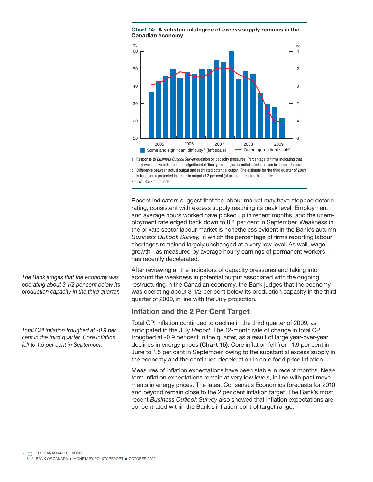



a. Response to Business Outlook Survey question on capacity pressures. Percentage of firms indicating that they would have either some or significant difficulty meeting an unanticipated increase in demand/sales.

b. Difference between actual output and estimated potential output. The estimate for the third quarter of 2009 is based on a projected increase in output of 2 per cent (at annual rates) for the quarter.

Source: Bank of Canada

Recent indicators suggest that the labour market may have stopped deteriorating, consistent with excess supply reaching its peak level. Employment and average hours worked have picked up in recent months, and the unemployment rate edged back down to 8.4 per cent in September. Weakness in the private sector labour market is nonetheless evident in the Bank's autumn Business Outlook Survey, in which the percentage of firms reporting labour shortages remained largely unchanged at a very low level. As well, wage growth—as measured by average hourly earnings of permanent workers has recently decelerated.

After reviewing all the indicators of capacity pressures and taking into account the weakness in potential output associated with the ongoing restructuring in the Canadian economy, the Bank judges that the economy was operating about 3 1/2 per cent below its production capacity in the third quarter of 2009, in line with the July projection.

### Inflation and the 2 Per Cent Target

Total CPI inflation continued to decline in the third quarter of 2009, as anticipated in the July Report. The 12-month rate of change in total CPI troughed at -0.9 per cent in the quarter, as a result of large year-over-year declines in energy prices (Chart 15). Core inflation fell from 1.9 per cent in June to 1.5 per cent in September, owing to the substantial excess supply in the economy and the continued deceleration in core food price inflation.

Measures of inflation expectations have been stable in recent months. Nearterm inflation expectations remain at very low levels, in line with past movements in energy prices. The latest Consensus Economics forecasts for 2010 and beyond remain close to the 2 per cent inflation target. The Bank's most recent Business Outlook Survey also showed that inflation expectations are concentrated within the Bank's inflation-control target range.

The Bank judges that the economy was operating about 3 1/2 per cent below its production capacity in the third quarter.

Total CPI inflation troughed at -0.9 per cent in the third quarter. Core inflation fell to 1.5 per cent in September.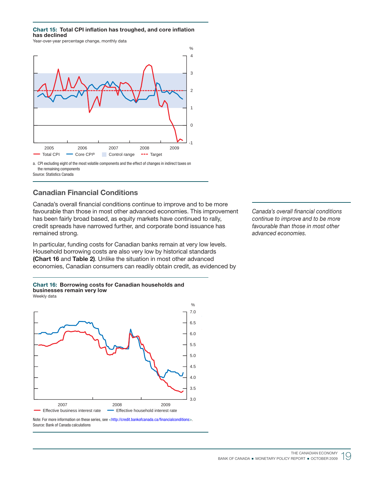### Chart 15: Total CPI inflation has troughed, and core inflation has declined

Year-over-year percentage change, monthly data



a. CPI excluding eight of the most volatile components and the effect of changes in indirect taxes on the remaining components Source: Statistics Canada

### Canadian Financial Conditions

Canada's overall financial conditions continue to improve and to be more favourable than those in most other advanced economies. This improvement has been fairly broad based, as equity markets have continued to rally, credit spreads have narrowed further, and corporate bond issuance has remained strong.

In particular, funding costs for Canadian banks remain at very low levels. Household borrowing costs are also very low by historical standards (Chart 16 and Table 2). Unlike the situation in most other advanced economies, Canadian consumers can readily obtain credit, as evidenced by





Note: For more information on these series, see [<http://credit.bankofcanada.ca/financialconditions>](http://credit.bankofcanada.ca/financialconditions). Source: Bank of Canada calculations

Canada's overall financial conditions continue to improve and to be more favourable than those in most other advanced economies.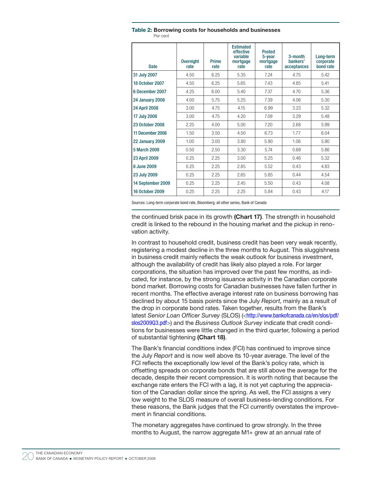| <b>Date</b>            | <b>Overnight</b><br>rate | <b>Prime</b><br>rate | <b>Estimated</b><br>effective<br>variable<br>mortgage<br>rate | <b>Posted</b><br>5-year<br>mortgage<br>rate | $3$ -month<br>bankers'<br>acceptances | Long-term<br>corporate<br>bond rate |
|------------------------|--------------------------|----------------------|---------------------------------------------------------------|---------------------------------------------|---------------------------------------|-------------------------------------|
| 31 July 2007           | 4.50                     | 6.25                 | 5.35                                                          | 7.24                                        | 4.75                                  | 5.42                                |
| <b>18 October 2007</b> | 4.50                     | 6.25                 | 5.65                                                          | 7.43                                        | 4.85                                  | 5.41                                |
| 6 December 2007        | 4.25                     | 6.00                 | 5.40                                                          | 7.37                                        | 4.70                                  | 5.36                                |
| <b>24 January 2008</b> | 4.00                     | 5.75                 | 5.25                                                          | 7.39                                        | 4.06                                  | 5.30                                |
| <b>24 April 2008</b>   | 3.00                     | 4.75                 | 4.15                                                          | 6.99                                        | 3.23                                  | 5.32                                |
| 17 July 2008           | 3.00                     | 4.75                 | 4.20                                                          | 7.09                                        | 3.29                                  | 5.48                                |
| 23 October 2008        | 2.25                     | 4.00                 | 5.00                                                          | 7.20                                        | 2.68                                  | 5.99                                |
| 11 December 2008       | 1.50                     | 3.50                 | 4.50                                                          | 6.73                                        | 1.77                                  | 6.04                                |
| 22 January 2009        | 1.00                     | 3.00                 | 3.80                                                          | 5.90                                        | 1.06                                  | 5.90                                |
| 5 March 2009           | 0.50                     | 2.50                 | 3.30                                                          | 5.74                                        | 0.69                                  | 5.86                                |
| <b>23 April 2009</b>   | 0.25                     | 2.25                 | 3.00                                                          | 5.25                                        | 0.46                                  | 5.32                                |
| 8 June 2009            | 0.25                     | 2.25                 | 2.85                                                          | 5.52                                        | 0.43                                  | 4.83                                |
| 23 July 2009           | 0.25                     | 2.25                 | 2.65                                                          | 5.85                                        | 0.44                                  | 4.54                                |
| 14 September 2009      | 0.25                     | 2.25                 | 2.45                                                          | 5.50                                        | 0.43                                  | 4.08                                |
| 16 October 2009        | 0.25                     | 2.25                 | 2.25                                                          | 5.84                                        | 0.43                                  | 4.17                                |

Table 2: Borrowing costs for households and businesses Per cent

Sources: Long-term corporate bond rate, Bloomberg; all other series, Bank of Canada

the continued brisk pace in its growth (Chart 17). The strength in household credit is linked to the rebound in the housing market and the pickup in renovation activity.

In contrast to household credit, business credit has been very weak recently, registering a modest decline in the three months to August. This sluggishness in business credit mainly reflects the weak outlook for business investment, although the availability of credit has likely also played a role. For larger corporations, the situation has improved over the past few months, as indicated, for instance, by the strong issuance activity in the Canadian corporate bond market. Borrowing costs for Canadian businesses have fallen further in recent months. The effective average interest rate on business borrowing has declined by about 15 basis points since the July Report, mainly as a result of the drop in corporate bond rates. Taken together, results from the Bank's latest Senior Loan Officer Survey (SLOS) ([<http://www.bankofcanada.ca/en/slos/pdf/](http://www.bankofcanada.ca/en/slos/pdf/slos2009Q3.pdf) [slos2009Q3.pdf>](http://www.bankofcanada.ca/en/slos/pdf/slos2009Q3.pdf)) and the Business Outlook Survey indicate that credit conditions for businesses were little changed in the third quarter, following a period of substantial tightening (Chart 18).

The Bank's financial conditions index (FCI) has continued to improve since the July Report and is now well above its 10-year average. The level of the FCI reflects the exceptionally low level of the Bank's policy rate, which is offsetting spreads on corporate bonds that are still above the average for the decade, despite their recent compression. It is worth noting that because the exchange rate enters the FCI with a lag, it is not yet capturing the appreciation of the Canadian dollar since the spring. As well, the FCI assigns a very low weight to the SLOS measure of overall business-lending conditions. For these reasons, the Bank judges that the FCI currently overstates the improvement in financial conditions.

The monetary aggregates have continued to grow strongly. In the three months to August, the narrow aggregate M1+ grew at an annual rate of

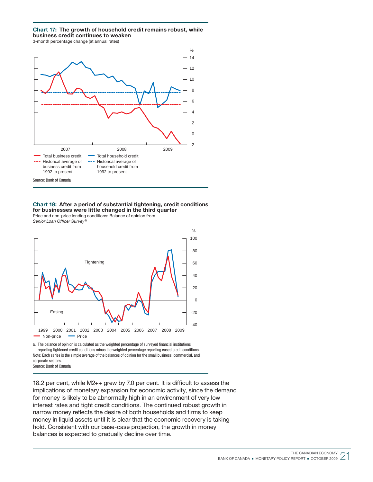### Chart 17: The growth of household credit remains robust, while business credit continues to weaken

3-month percentage change (at annual rates)



Chart 18: After a period of substantial tightening, credit conditions for businesses were little changed in the third quarter

Price and non-price lending conditions: Balance of opinion from Senior Loan Officer Survey<sup>a</sup>



a. The balance of opinion is calculated as the weighted percentage of surveyed financial institutions reporting tightened credit conditions minus the weighted percentage reporting eased credit conditions. Note: Each series is the simple average of the balances of opinion for the small business, commercial, and corporate sectors. Source: Bank of Canada

18.2 per cent, while  $M2++$  grew by 7.0 per cent. It is difficult to assess the implications of monetary expansion for economic activity, since the demand for money is likely to be abnormally high in an environment of very low interest rates and tight credit conditions. The continued robust growth in narrow money reflects the desire of both households and firms to keep money in liquid assets until it is clear that the economic recovery is taking hold. Consistent with our base-case projection, the growth in money balances is expected to gradually decline over time.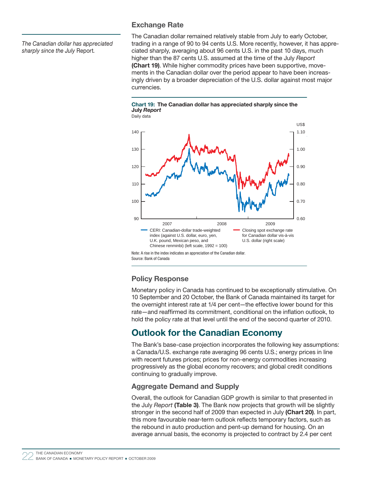The Canadian dollar has appreciated sharply since the July Report.

### Exchange Rate

The Canadian dollar remained relatively stable from July to early October, trading in a range of 90 to 94 cents U.S. More recently, however, it has appreciated sharply, averaging about 96 cents U.S. in the past 10 days, much higher than the 87 cents U.S. assumed at the time of the July Report (Chart 19). While higher commodity prices have been supportive, movements in the Canadian dollar over the period appear to have been increasingly driven by a broader depreciation of the U.S. dollar against most major currencies.

Chart 19: The Canadian dollar has appreciated sharply since the July Report



### Policy Response

Monetary policy in Canada has continued to be exceptionally stimulative. On 10 September and 20 October, the Bank of Canada maintained its target for the overnight interest rate at 1/4 per cent—the effective lower bound for this rate—and reaffirmed its commitment, conditional on the inflation outlook, to hold the policy rate at that level until the end of the second quarter of 2010.

## Outlook for the Canadian Economy

The Bank's base-case projection incorporates the following key assumptions: a Canada/U.S. exchange rate averaging 96 cents U.S.; energy prices in line with recent futures prices; prices for non-energy commodities increasing progressively as the global economy recovers; and global credit conditions continuing to gradually improve.

### Aggregate Demand and Supply

Overall, the outlook for Canadian GDP growth is similar to that presented in the July Report (Table 3). The Bank now projects that growth will be slightly stronger in the second half of 2009 than expected in July (Chart 20). In part, this more favourable near-term outlook reflects temporary factors, such as the rebound in auto production and pent-up demand for housing. On an average annual basis, the economy is projected to contract by 2.4 per cent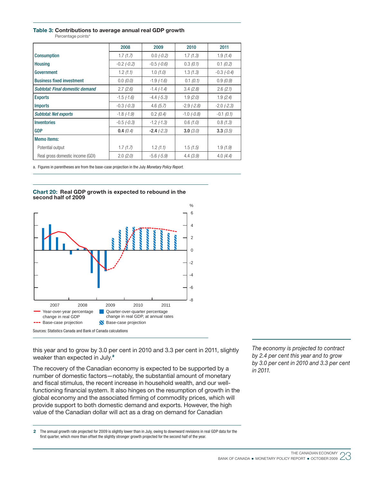### Table 3: Contributions to average annual real GDP growth

Percentage points<sup>a</sup>

|                                  | 2008              | 2009            | 2010            | 2011            |  |
|----------------------------------|-------------------|-----------------|-----------------|-----------------|--|
| <b>Consumption</b>               | 1.7(1.7)          | $0.0 (-0.2)$    | 1.7(1.3)        | 1.9(1.4)        |  |
| <b>Housing</b>                   | $-0.2$ $(-0.2)$   | $-0.5$ $(-0.6)$ | 0.3(0.1)        | 0.1(0.2)        |  |
| Government                       | 1.2(1.1)          | 1.0(1.0)        | 1.3(1.3)        | $-0.3$ $(-0.4)$ |  |
| <b>Business fixed investment</b> | 0.0(0.0)          | $-1.9$ $(-1.6)$ | 0.1 (0.1)       | 0.9(0.9)        |  |
| Subtotal: Final domestic demand  | 2.7(2.6)          | $-1.4$ $(-1.4)$ | 3.4(2.8)        | 2.6(2.1)        |  |
| <b>Exports</b>                   | $-1.5$ $(-1.6)$   | $-4.4$ $(-5.3)$ | 1.9(2.0)        | 1.9(2.4)        |  |
| <b>Imports</b>                   | $-0.3$ $(-0.3)$   | 4.6(5.7)        | $-2.9$ $(-2.8)$ | $-2.0$ $(-2.3)$ |  |
| <b>Subtotal: Net exports</b>     | $-1.8$ $(-1.9)$   | 0.2(0.4)        | $-1.0$ $(-0.8)$ | $-0.1$ (0.1)    |  |
| Inventories                      | $-0.5$ ( $-0.3$ ) | $-1.2$ $(-1.3)$ | 0.6(1.0)        | 0.8(1.3)        |  |
| <b>GDP</b>                       | 0.4(0.4)          | $-2.4(-2.3)$    | 3.0(3.0)        | 3.3(3.5)        |  |
| <b>Memo</b> items:               |                   |                 |                 |                 |  |
| Potential output                 | 1.7(1.7)          | 1.2(1.1)        | 1.5(1.5)        | 1.9(1.9)        |  |
| Real gross domestic income (GDI) | 2.0(2.0)          | $-5.6$ $(-5.9)$ | 4.4(3.9)        | 4.0(4.4)        |  |

a. Figures in parentheses are from the base-case projection in the July Monetary Policy Report.

### Chart 20: Real GDP growth is expected to rebound in the second half of 2009



this year and to grow by 3.0 per cent in 2010 and 3.3 per cent in 2011, slightly weaker than expected in July.<sup>2</sup>

The recovery of the Canadian economy is expected to be supported by a number of domestic factors—notably, the substantial amount of monetary and fiscal stimulus, the recent increase in household wealth, and our wellfunctioning financial system. It also hinges on the resumption of growth in the global economy and the associated firming of commodity prices, which will provide support to both domestic demand and exports. However, the high value of the Canadian dollar will act as a drag on demand for Canadian

2 The annual growth rate projected for 2009 is slightly lower than in July, owing to downward revisions in real GDP data for the first quarter, which more than offset the slightly stronger growth projected for the second half of the year.

The economy is projected to contract by 2.4 per cent this year and to grow by 3.0 per cent in 2010 and 3.3 per cent in 2011.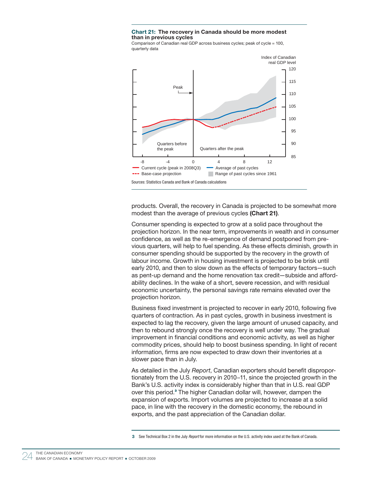### Chart 21: The recovery in Canada should be more modest than in previous cycles

Comparison of Canadian real GDP across business cycles; peak of cycle = 100, quarterly data



products. Overall, the recovery in Canada is projected to be somewhat more modest than the average of previous cycles (Chart 21).

Consumer spending is expected to grow at a solid pace throughout the projection horizon. In the near term, improvements in wealth and in consumer confidence, as well as the re-emergence of demand postponed from previous quarters, will help to fuel spending. As these effects diminish, growth in consumer spending should be supported by the recovery in the growth of labour income. Growth in housing investment is projected to be brisk until early 2010, and then to slow down as the effects of temporary factors—such as pent-up demand and the home renovation tax credit—subside and affordability declines. In the wake of a short, severe recession, and with residual economic uncertainty, the personal savings rate remains elevated over the projection horizon.

Business fixed investment is projected to recover in early 2010, following five quarters of contraction. As in past cycles, growth in business investment is expected to lag the recovery, given the large amount of unused capacity, and then to rebound strongly once the recovery is well under way. The gradual improvement in financial conditions and economic activity, as well as higher commodity prices, should help to boost business spending. In light of recent information, firms are now expected to draw down their inventories at a slower pace than in July.

As detailed in the July Report, Canadian exporters should benefit disproportionately from the U.S. recovery in 2010−11, since the projected growth in the Bank's U.S. activity index is considerably higher than that in U.S. real GDP over this period.<sup>3</sup> The higher Canadian dollar will, however, dampen the expansion of exports. Import volumes are projected to increase at a solid pace, in line with the recovery in the domestic economy, the rebound in exports, and the past appreciation of the Canadian dollar.

<sup>3</sup> See Technical Box 2 in the July Report for more information on the U.S. activity index used at the Bank of Canada.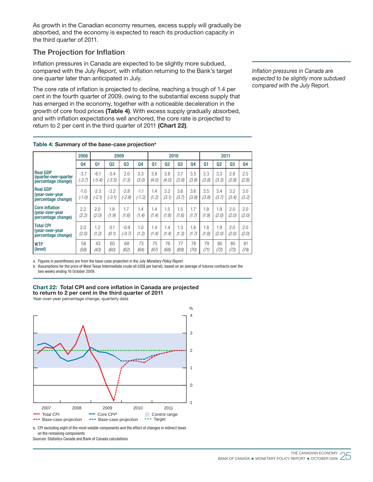As growth in the Canadian economy resumes, excess supply will gradually be absorbed, and the economy is expected to reach its production capacity in the third quarter of 2011.

### **The Projection for Inflation**

Inflation pressures in Canada are expected to be slightly more subdued, compared with the July Report, with inflation returning to the Bank's target one quarter later than anticipated in July.

The core rate of inflation is projected to decline, reaching a trough of 1.4 per cent in the fourth quarter of 2009, owing to the substantial excess supply that has emerged in the economy, together with a noticeable deceleration in the growth of core food prices (Table 4). With excess supply gradually absorbed, and with inflation expectations well anchored, the core rate is projected to return to 2 per cent in the third quarter of 2011 (Chart 22).

> 3.5 (3.8)

> 1.8 (1.9)

> 1.8  $(1.8)$

> > 79 (71)

3.4 (3.7)

1.9 (2.0)

1.9 (2.0)

 80 (72) 3.2 (3.4)

2.0 (2.0)

2.0 (2.0)

> 80 (73)

2.5 (2.8)

3.0 (3.2)

2.0 (2.0)

2.0 (2.0)

 81 (74) Inflation pressures in Canada are expected to be slightly more subdued compared with the July Report.

|                                                                | 2008               |                  | 2009               |              | 2010         |              |                | 2011         |              |              |              |              |                |
|----------------------------------------------------------------|--------------------|------------------|--------------------|--------------|--------------|--------------|----------------|--------------|--------------|--------------|--------------|--------------|----------------|
|                                                                | 04                 | 01               | 02                 | Q3           | 04           | $_{01}$      | Q <sub>2</sub> | 03           | <b>Q4</b>    | Q1           | 02           | Q3           | Q <sub>4</sub> |
| <b>Real GDP</b><br>(quarter-over-quarter<br>percentage change) | $-3.7$<br>$(-3.7)$ | $-6.1$<br>(-5.4) | $-3.4$<br>$(-3.5)$ | 2.0<br>(1.3) | 3.3<br>(3.0) | 3.8<br>(4.0) | 3.8<br>(4.0)   | 3.7<br>(3.8) | 3.5<br>(3.8) | 3.3<br>(3.8) | 3.3<br>(3.3) | 2.8<br>(2.8) | 2.5<br>(2.8)   |

-3.2 (-3.1)

1.9 (1.9)

 0.1  $(0.1)$ 

60

-2.8 (-2.9)

1.7 (1.6)

-0.9 (-0.7)

68

-1.1 (-1.2)

1.4  $(1.4)$ 

1.0  $(1.2)$ 

73

1.4  $(1.2)$ 

1.4  $(1.4)$ 

1.4  $(1.4)$ 

75

3.2  $(3.1)$ 

1.5  $(1.6)$ 

1.4  $(1.4)$ 

76

3.6 (3.7)

1.5  $(1.6)$ 

1.3  $(1.3)$ 

77

3.6 (3.9)

1.7  $(1.7)$ 

1.6  $(1.7)$ 

> 78 (70)

Table 4: Summary of the base-case projection<sup>a</sup>

-2.3  $(-2.1)$ 

2.0 (2.0)

1.2  $(1.2)$ 

43

-1.0 (-1.0)

> 2.2 (2.2)

2.0 (2.0)

58

Real GDP (year-over-year percentage change)

Total CPI (year-over-year percentage change)

**WTIb** (level)

**Core inflation** (year-over-year percentage change)

(58) (43) (60) (62) (64) (67) (68) (69)

a. Figures in parentheses are from the base-case projection in the July Monetary Policy Report.

b. Assumptions for the price of West Texas Intermediate crude oil (US\$ per barrel), based on an average of futures contracts over the two weeks ending 16 October 2009.



Year-over-year percentage change, quarterly data



a. CPI excluding eight of the most volatile components and the effect of changes in indirect taxes on the remaining components

Sources: Statistics Canada and Bank of Canada calculations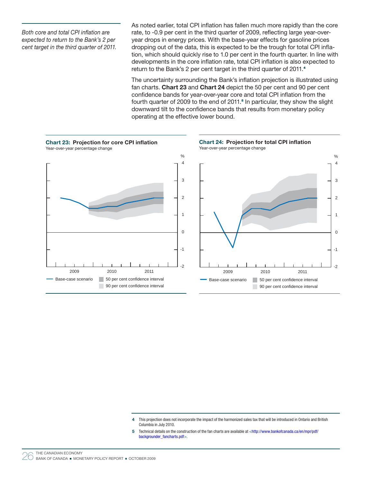Both core and total CPI inflation are expected to return to the Bank's 2 per cent target in the third quarter of 2011.

As noted earlier, total CPI inflation has fallen much more rapidly than the core rate, to -0.9 per cent in the third quarter of 2009, reflecting large year-overyear drops in energy prices. With the base-year effects for gasoline prices dropping out of the data, this is expected to be the trough for total CPI inflation, which should quickly rise to 1.0 per cent in the fourth quarter. In line with developments in the core inflation rate, total CPI inflation is also expected to return to the Bank's 2 per cent target in the third quarter of 2011. 4

The uncertainty surrounding the Bank's inflation projection is illustrated using fan charts. Chart 23 and Chart 24 depict the 50 per cent and 90 per cent confidence bands for year-over-year core and total CPI inflation from the fourth quarter of 2009 to the end of 2011. 5 In particular, they show the slight downward tilt to the confidence bands that results from monetary policy operating at the effective lower bound.



4 This projection does not incorporate the impact of the harmonized sales tax that will be introduced in Ontario and British Columbia in July 2010.

5 Technical details on the construction of the fan charts are available at [<http://www.bankofcanada.ca/en/mpr/pdf/](http://www.bankofcanada.ca/en/mpr/pdf/backgrounder_fancharts.pdf) [backgrounder\\_fancharts.pdf>](http://www.bankofcanada.ca/en/mpr/pdf/backgrounder_fancharts.pdf).